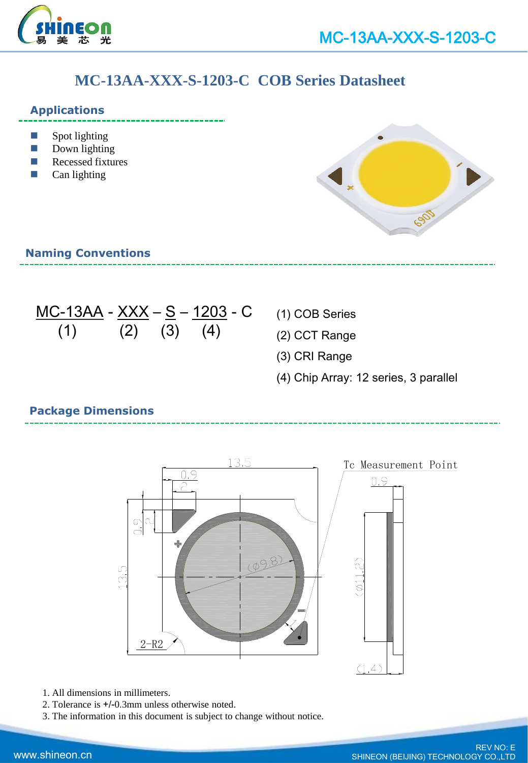

# **MC-13AA-XXX-S-1203-C COB Series Datasheet**

#### **Applications**

- $\Box$  Spot lighting
- Down lighting
- Recessed fixtures
- Can lighting



## **Naming Conventions**

MC-13AA - XXX – S – 1203 - C (1) (2) (3) (4)

- (1) COB Series
- (2) CCT Range
- (3) CRI Range
- (4) Chip Array: 12 series, 3 parallel

# **Package Dimensions**



- 1. All dimensions in millimeters.
- 2. Tolerance is +/-0.3mm unless otherwise noted.
- 3. The information in this document is subject to change without notice.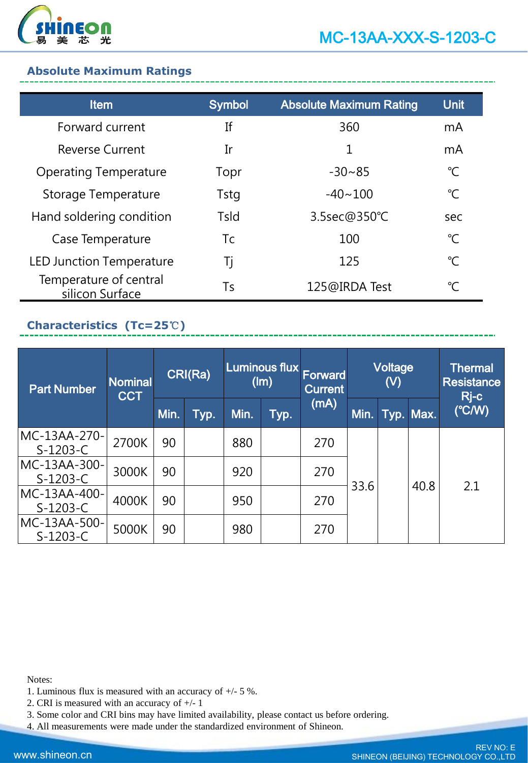

## **Absolute Maximum Ratings**

| <b>Item</b>                               | <b>Symbol</b> | <b>Absolute Maximum Rating</b> | <b>Unit</b>    |
|-------------------------------------------|---------------|--------------------------------|----------------|
| Forward current                           | Ιf            | 360                            | m <sub>A</sub> |
| <b>Reverse Current</b>                    | Ir            | 1                              | mA             |
| <b>Operating Temperature</b>              | Topr          | $-30 - 85$                     | $^{\circ}C$    |
| Storage Temperature                       | <b>Tstg</b>   | $-40 - 100$                    | $^{\circ}C$    |
| Hand soldering condition                  | Tsld          | 3.5sec@350°C                   | sec            |
| Case Temperature                          | Tc            | 100                            | $^{\circ}C$    |
| <b>LED Junction Temperature</b>           | Tj            | 125                            | $^{\circ}C$    |
| Temperature of central<br>silicon Surface | Ts            | 125@IRDA Test                  | $^{\circ}C$    |

# **Characteristics (Tc=25**℃**)**

| <b>Part Number</b>         | <b>Nominal</b><br><b>CCT</b> | CRI(Ra) |      | Luminous flux<br>(lm) |      | <b>Forward</b><br><b>Current</b> | Voltage<br>(V) |  | Thermal<br><b>Resistance</b><br>Rj-c |                 |  |  |      |
|----------------------------|------------------------------|---------|------|-----------------------|------|----------------------------------|----------------|--|--------------------------------------|-----------------|--|--|------|
|                            |                              | Min.    | Typ. | Min.                  | Typ. | (mA)                             | Min.           |  | Typ. Max.                            | $(^{\circ}C/W)$ |  |  |      |
| MC-13AA-270-<br>$S-1203-C$ | 2700K                        | 90      |      | 880                   |      | 270                              | 33.6           |  |                                      |                 |  |  |      |
| MC-13AA-300-<br>$S-1203-C$ | 3000K                        | 90      |      | 920                   |      | 270                              |                |  |                                      |                 |  |  |      |
| MC-13AA-400-<br>$S-1203-C$ | 4000K                        | 90      |      | 950                   |      | 270                              |                |  |                                      |                 |  |  | 40.8 |
| MC-13AA-500-<br>$S-1203-C$ | 5000K                        | 90      |      | 980                   |      | 270                              |                |  |                                      |                 |  |  |      |

Notes:

- 1. Luminous flux is measured with an accuracy of +/- 5 %.
- 2. CRI is measured with an accuracy of +/- 1
- 3. Some color and CRI bins may have limited availability, please contact us before ordering.
- 4. All measurements were made under the standardized environment of Shineon.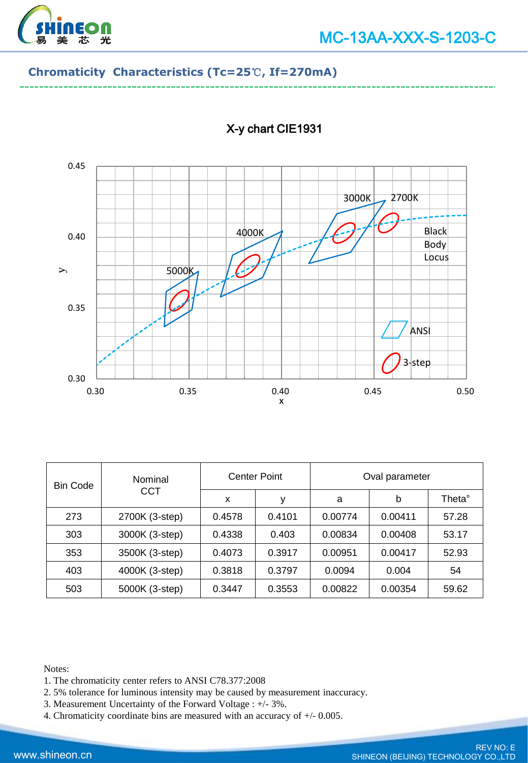

#### **Chromaticity Characteristics (Tc=25**℃**, If=270mA)**



# X-y chart CIE1931

| <b>Bin Code</b> | Nominal<br><b>CCT</b> | <b>Center Point</b> |        | Oval parameter |         |        |
|-----------------|-----------------------|---------------------|--------|----------------|---------|--------|
|                 |                       | x                   | у      | a              | b       | Theta° |
| 273             | 2700K (3-step)        | 0.4578              | 0.4101 | 0.00774        | 0.00411 | 57.28  |
| 303             | 3000K (3-step)        | 0.4338              | 0.403  | 0.00834        | 0.00408 | 53.17  |
| 353             | 3500K (3-step)        | 0.4073              | 0.3917 | 0.00951        | 0.00417 | 52.93  |
| 403             | 4000K (3-step)        | 0.3818              | 0.3797 | 0.0094         | 0.004   | 54     |
| 503             | 5000K (3-step)        | 0.3447              | 0.3553 | 0.00822        | 0.00354 | 59.62  |

Notes:

- 1. The chromaticity center refers to ANSI C78.377:2008
- 2. 5% tolerance for luminous intensity may be caused by measurement inaccuracy.
- 3. Measurement Uncertainty of the Forward Voltage : +/- 3%.
- 4. Chromaticity coordinate bins are measured with an accuracy of +/- 0.005.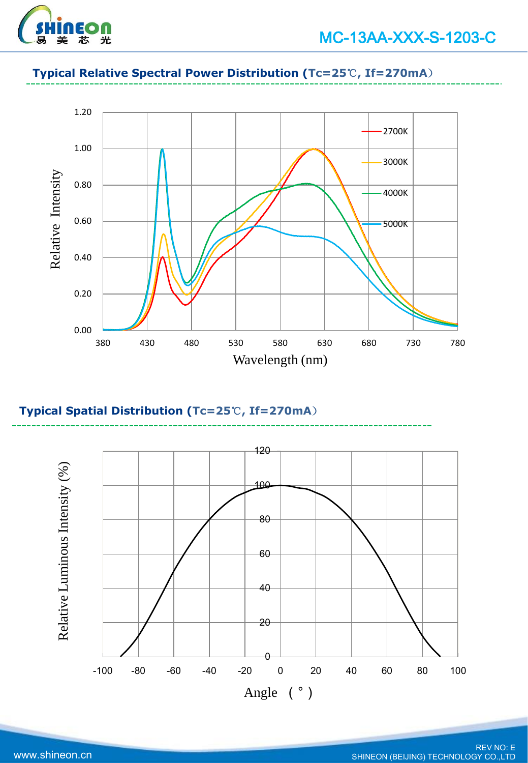

# **Typical Relative Spectral Power Distribution (Tc=25**℃**, If=270mA**)



# **Typical Spatial Distribution (Tc=25**℃**, If=270mA**)

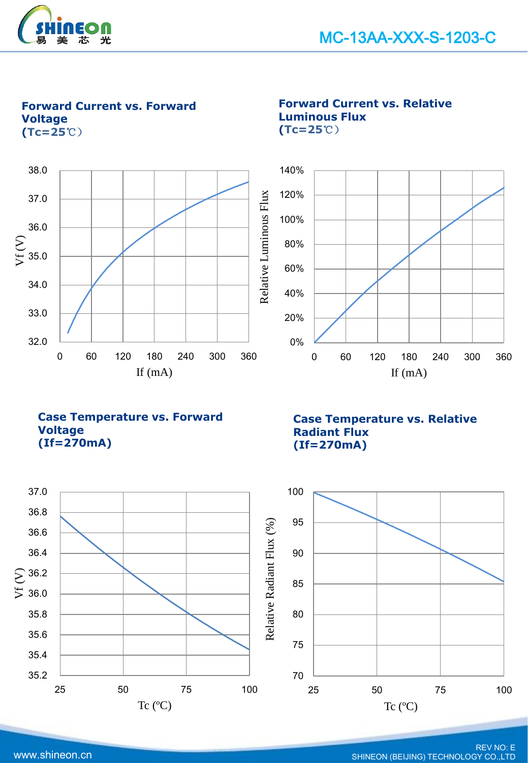

**Forward Current vs. Forward Voltage (Tc=25**℃)



**Forward Current vs. Relative Luminous Flux (Tc=25**℃)



**Case Temperature vs. Forward Voltage (If=270mA)**

**Case Temperature vs. Relative Radiant Flux (If=270mA)**

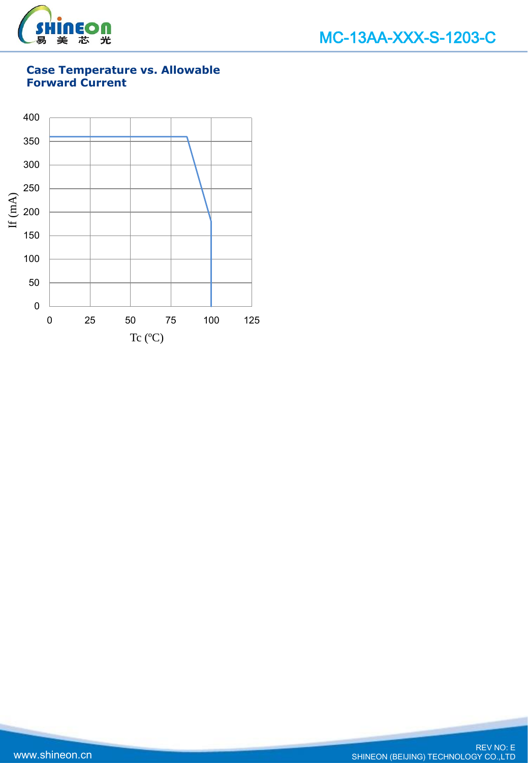

# **Case Temperature vs. Allowable Forward Current**

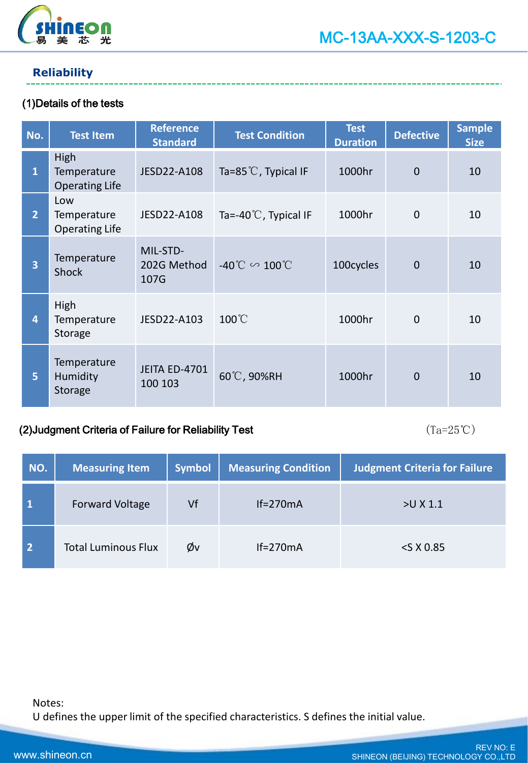

# **Reliability**

### (1)Details of the tests

| No.            | <b>Test Item</b>                             | <b>Reference</b><br><b>Standard</b> | <b>Test Condition</b>                | <b>Test</b><br><b>Duration</b> | <b>Defective</b> | <b>Sample</b><br><b>Size</b> |
|----------------|----------------------------------------------|-------------------------------------|--------------------------------------|--------------------------------|------------------|------------------------------|
| $\mathbf{1}$   | High<br>Temperature<br><b>Operating Life</b> | JESD22-A108                         | Ta=85 $\degree$ C, Typical IF        | 1000hr                         | $\overline{0}$   | 10                           |
| $\overline{2}$ | Low<br>Temperature<br><b>Operating Life</b>  | JESD22-A108                         | Ta=-40 $\degree$ C, Typical IF       | 1000hr                         | $\overline{0}$   | 10                           |
| 3              | Temperature<br>Shock                         | MIL-STD-<br>202G Method<br>107G     | $-40^{\circ}$ C $\sim 100^{\circ}$ C | 100cycles                      | $\overline{0}$   | 10                           |
| 4              | High<br>Temperature<br>Storage               | JESD22-A103                         | $100^{\circ}$ C                      | 1000hr                         | $\mathbf{0}$     | 10                           |
| 5              | Temperature<br>Humidity<br>Storage           | <b>JEITA ED-4701</b><br>100 103     | 60°C, 90%RH                          | 1000hr                         | $\overline{0}$   | 10                           |

#### (2)Judgment Criteria of Failure for Reliability Test  $(Ta=25°C)$

| NO.            | <b>Measuring Item</b>      | <b>Symbol</b> | <b>Measuring Condition</b> | <b>Judgment Criteria for Failure</b> |
|----------------|----------------------------|---------------|----------------------------|--------------------------------------|
|                | <b>Forward Voltage</b>     | Vf            | $If = 270mA$               | $>U$ X 1.1                           |
| $\overline{2}$ | <b>Total Luminous Flux</b> | Øv            | $If = 270mA$               | $<$ S X 0.85                         |

Notes:

U defines the upper limit of the specified characteristics. S defines the initial value.